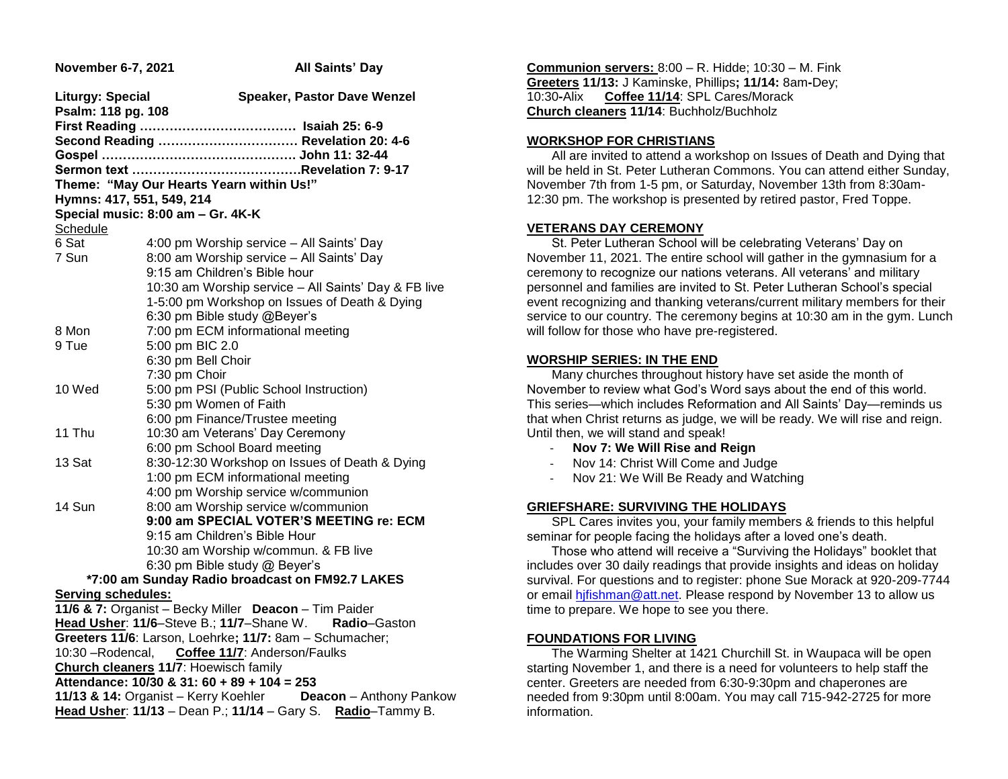| November 6-7, 2021                                           | <b>All Saints' Day</b>                                                           |  |  |  |
|--------------------------------------------------------------|----------------------------------------------------------------------------------|--|--|--|
| <b>Liturgy: Special</b><br>Psalm: 118 pg. 108                | <b>Speaker, Pastor Dave Wenzel</b>                                               |  |  |  |
|                                                              |                                                                                  |  |  |  |
|                                                              | Second Reading  Revelation 20: 4-6                                               |  |  |  |
|                                                              |                                                                                  |  |  |  |
|                                                              |                                                                                  |  |  |  |
|                                                              | Theme: "May Our Hearts Yearn within Us!"                                         |  |  |  |
| Hymns: 417, 551, 549, 214                                    | Special music: 8:00 am - Gr. 4K-K                                                |  |  |  |
| Schedule                                                     |                                                                                  |  |  |  |
| 6 Sat                                                        | 4:00 pm Worship service - All Saints' Day                                        |  |  |  |
| 7 Sun                                                        | 8:00 am Worship service - All Saints' Day                                        |  |  |  |
|                                                              | 9:15 am Children's Bible hour                                                    |  |  |  |
|                                                              | 10:30 am Worship service - All Saints' Day & FB live                             |  |  |  |
|                                                              | 1-5:00 pm Workshop on Issues of Death & Dying                                    |  |  |  |
|                                                              | 6:30 pm Bible study @Beyer's                                                     |  |  |  |
| 8 Mon                                                        | 7:00 pm ECM informational meeting                                                |  |  |  |
| 9 Tue                                                        | 5:00 pm BIC 2.0                                                                  |  |  |  |
|                                                              | 6:30 pm Bell Choir                                                               |  |  |  |
|                                                              | 7:30 pm Choir                                                                    |  |  |  |
| 10 Wed                                                       | 5:00 pm PSI (Public School Instruction)                                          |  |  |  |
|                                                              | 5:30 pm Women of Faith                                                           |  |  |  |
|                                                              | 6:00 pm Finance/Trustee meeting                                                  |  |  |  |
| 11 Thu                                                       | 10:30 am Veterans' Day Ceremony                                                  |  |  |  |
|                                                              | 6:00 pm School Board meeting                                                     |  |  |  |
| 13 Sat                                                       | 8:30-12:30 Workshop on Issues of Death & Dying                                   |  |  |  |
|                                                              | 1:00 pm ECM informational meeting                                                |  |  |  |
|                                                              | 4:00 pm Worship service w/communion                                              |  |  |  |
| 14 Sun                                                       | 8:00 am Worship service w/communion                                              |  |  |  |
|                                                              | 9:00 am SPECIAL VOTER'S MEETING re: ECM                                          |  |  |  |
|                                                              | 9:15 am Children's Bible Hour                                                    |  |  |  |
|                                                              | 10:30 am Worship w/commun. & FB live                                             |  |  |  |
|                                                              | 6:30 pm Bible study @ Beyer's<br>*7:00 am Sunday Radio broadcast on FM92.7 LAKES |  |  |  |
| <b>Serving schedules:</b>                                    |                                                                                  |  |  |  |
|                                                              | 11/6 & 7: Organist - Becky Miller Deacon - Tim Paider                            |  |  |  |
|                                                              | Head Usher: 11/6-Steve B.; 11/7-Shane W.<br>Radio-Gaston                         |  |  |  |
|                                                              | Greeters 11/6: Larson, Loehrke; 11/7: 8am - Schumacher;                          |  |  |  |
| 10:30 - Rodencal, Coffee 11/7: Anderson/Faulks               |                                                                                  |  |  |  |
| Church cleaners 11/7: Hoewisch family                        |                                                                                  |  |  |  |
| Attendance: 10/30 & 31: 60 + 89 + 104 = 253                  |                                                                                  |  |  |  |
| 11/13 & 14: Organist - Kerry Koehler Deacon - Anthony Pankow |                                                                                  |  |  |  |
| Head Usher: 11/13 - Dean P.; 11/14 - Gary S. Radio-Tammy B.  |                                                                                  |  |  |  |
|                                                              |                                                                                  |  |  |  |

**Communion servers:** 8:00 – R. Hidde; 10:30 – M. Fink **Greeters 11/13:** J Kaminske, Phillips**; 11/14:** 8am**-**Dey; 10:30**-**Alix **Coffee 11/14**: SPL Cares/Morack **Church cleaners 11/14**: Buchholz/Buchholz

#### **WORKSHOP FOR CHRISTIANS**

 All are invited to attend a workshop on Issues of Death and Dying that will be held in St. Peter Lutheran Commons. You can attend either Sunday, November 7th from 1-5 pm, or Saturday, November 13th from 8:30am-12:30 pm. The workshop is presented by retired pastor, Fred Toppe.

### **VETERANS DAY CEREMONY**

 St. Peter Lutheran School will be celebrating Veterans' Day on November 11, 2021. The entire school will gather in the gymnasium for a ceremony to recognize our nations veterans. All veterans' and military personnel and families are invited to St. Peter Lutheran School's special event recognizing and thanking veterans/current military members for their service to our country. The ceremony begins at 10:30 am in the gym. Lunch will follow for those who have pre-registered.

## **WORSHIP SERIES: IN THE END**

 Many churches throughout history have set aside the month of November to review what God's Word says about the end of this world. This series—which includes Reformation and All Saints' Day—reminds us that when Christ returns as judge, we will be ready. We will rise and reign. Until then, we will stand and speak!

- **Nov 7: We Will Rise and Reign**
- Nov 14: Christ Will Come and Judge
- Nov 21: We Will Be Ready and Watching

### **GRIEFSHARE: SURVIVING THE HOLIDAYS**

 SPL Cares invites you, your family members & friends to this helpful seminar for people facing the holidays after a loved one's death.

 Those who attend will receive a "Surviving the Holidays" booklet that includes over 30 daily readings that provide insights and ideas on holiday survival. For questions and to register: phone Sue Morack at 920-209-7744 or email [hjfishman@att.net.](mailto:hjfishman@att.net) Please respond by November 13 to allow us time to prepare. We hope to see you there.

## **FOUNDATIONS FOR LIVING**

 The Warming Shelter at 1421 Churchill St. in Waupaca will be open starting November 1, and there is a need for volunteers to help staff the center. Greeters are needed from 6:30-9:30pm and chaperones are needed from 9:30pm until 8:00am. You may call 715-942-2725 for more information.